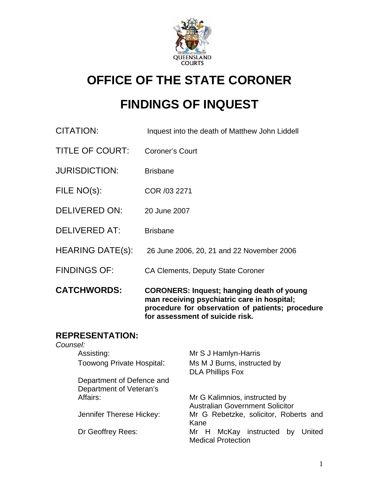

# **OFFICE OF THE STATE CORONER**

# **FINDINGS OF INQUEST**

| <b>CATCHWORDS:</b>      | <b>CORONERS: Inquest; hanging death of young</b><br>man receiving psychiatric care in hospital;<br>procedure for observation of patients; procedure<br>for assessment of suicide risk. |
|-------------------------|----------------------------------------------------------------------------------------------------------------------------------------------------------------------------------------|
| <b>FINDINGS OF:</b>     | <b>CA Clements, Deputy State Coroner</b>                                                                                                                                               |
| <b>HEARING DATE(s):</b> | 26 June 2006, 20, 21 and 22 November 2006                                                                                                                                              |
| <b>DELIVERED AT:</b>    | <b>Brisbane</b>                                                                                                                                                                        |
| <b>DELIVERED ON:</b>    | 20 June 2007                                                                                                                                                                           |
| FILE NO(s):             | COR /03 2271                                                                                                                                                                           |
| <b>JURISDICTION:</b>    | <b>Brisbane</b>                                                                                                                                                                        |
| TITLE OF COURT:         | <b>Coroner's Court</b>                                                                                                                                                                 |
| <b>CITATION:</b>        | Inquest into the death of Matthew John Liddell                                                                                                                                         |

# **REPRESENTATION:**

| Counsel:                         |                                                                         |
|----------------------------------|-------------------------------------------------------------------------|
| Assisting:                       | Mr S J Hamlyn-Harris                                                    |
| <b>Toowong Private Hospital:</b> | Ms M J Burns, instructed by<br><b>DLA Phillips Fox</b>                  |
| Department of Defence and        |                                                                         |
| Department of Veteran's          |                                                                         |
| Affairs:                         | Mr G Kalimnios, instructed by<br><b>Australian Government Solicitor</b> |
| Jennifer Therese Hickey:         | Mr G Rebetzke, solicitor, Roberts and<br>Kane                           |
| Dr Geoffrey Rees:                | McKay instructed<br>United<br>Mr H<br>by<br><b>Medical Protection</b>   |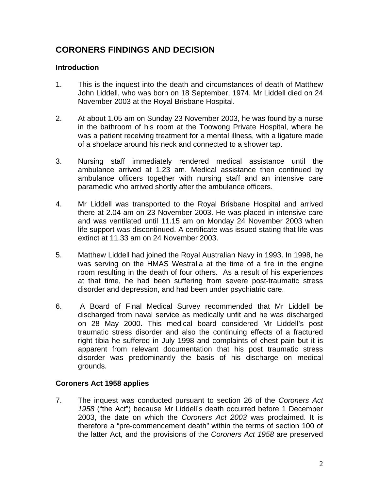# **CORONERS FINDINGS AND DECISION**

# **Introduction**

- 1. This is the inquest into the death and circumstances of death of Matthew John Liddell, who was born on 18 September, 1974. Mr Liddell died on 24 November 2003 at the Royal Brisbane Hospital.
- 2. At about 1.05 am on Sunday 23 November 2003, he was found by a nurse in the bathroom of his room at the Toowong Private Hospital, where he was a patient receiving treatment for a mental illness, with a ligature made of a shoelace around his neck and connected to a shower tap.
- 3. Nursing staff immediately rendered medical assistance until the ambulance arrived at 1.23 am. Medical assistance then continued by ambulance officers together with nursing staff and an intensive care paramedic who arrived shortly after the ambulance officers.
- 4. Mr Liddell was transported to the Royal Brisbane Hospital and arrived there at 2.04 am on 23 November 2003. He was placed in intensive care and was ventilated until 11.15 am on Monday 24 November 2003 when life support was discontinued. A certificate was issued stating that life was extinct at 11.33 am on 24 November 2003.
- 5. Matthew Liddell had joined the Royal Australian Navy in 1993. In 1998, he was serving on the HMAS Westralia at the time of a fire in the engine room resulting in the death of four others. As a result of his experiences at that time, he had been suffering from severe post-traumatic stress disorder and depression, and had been under psychiatric care.
- 6. A Board of Final Medical Survey recommended that Mr Liddell be discharged from naval service as medically unfit and he was discharged on 28 May 2000. This medical board considered Mr Liddell's post traumatic stress disorder and also the continuing effects of a fractured right tibia he suffered in July 1998 and complaints of chest pain but it is apparent from relevant documentation that his post traumatic stress disorder was predominantly the basis of his discharge on medical grounds.

# **Coroners Act 1958 applies**

7. The inquest was conducted pursuant to section 26 of the *Coroners Act 1958* ("the Act") because Mr Liddell's death occurred before 1 December 2003, the date on which the *Coroners Act 2003* was proclaimed. It is therefore a "pre-commencement death" within the terms of section 100 of the latter Act, and the provisions of the *Coroners Act 1958* are preserved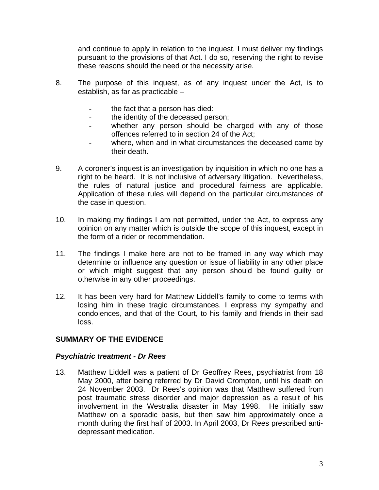and continue to apply in relation to the inquest. I must deliver my findings pursuant to the provisions of that Act. I do so, reserving the right to revise these reasons should the need or the necessity arise.

- 8. The purpose of this inquest, as of any inquest under the Act, is to establish, as far as practicable –
	- the fact that a person has died:
	- the identity of the deceased person;
	- whether any person should be charged with any of those offences referred to in section 24 of the Act;
	- where, when and in what circumstances the deceased came by their death.
- 9. A coroner's inquest is an investigation by inquisition in which no one has a right to be heard. It is not inclusive of adversary litigation. Nevertheless, the rules of natural justice and procedural fairness are applicable. Application of these rules will depend on the particular circumstances of the case in question.
- 10. In making my findings I am not permitted, under the Act, to express any opinion on any matter which is outside the scope of this inquest, except in the form of a rider or recommendation.
- 11. The findings I make here are not to be framed in any way which may determine or influence any question or issue of liability in any other place or which might suggest that any person should be found guilty or otherwise in any other proceedings.
- 12. It has been very hard for Matthew Liddell's family to come to terms with losing him in these tragic circumstances. I express my sympathy and condolences, and that of the Court, to his family and friends in their sad loss.

# **SUMMARY OF THE EVIDENCE**

# *Psychiatric treatment - Dr Rees*

13. Matthew Liddell was a patient of Dr Geoffrey Rees, psychiatrist from 18 May 2000, after being referred by Dr David Crompton, until his death on 24 November 2003. Dr Rees's opinion was that Matthew suffered from post traumatic stress disorder and major depression as a result of his involvement in the Westralia disaster in May 1998. He initially saw Matthew on a sporadic basis, but then saw him approximately once a month during the first half of 2003. In April 2003, Dr Rees prescribed antidepressant medication.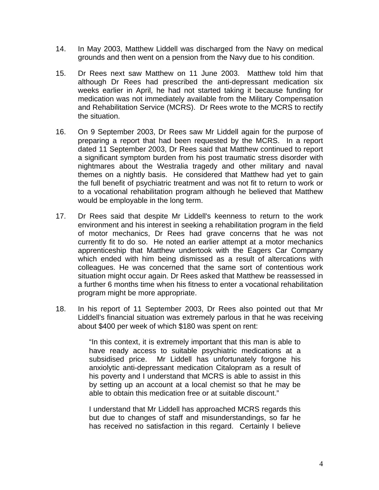- 14. In May 2003, Matthew Liddell was discharged from the Navy on medical grounds and then went on a pension from the Navy due to his condition.
- 15. Dr Rees next saw Matthew on 11 June 2003. Matthew told him that although Dr Rees had prescribed the anti-depressant medication six weeks earlier in April, he had not started taking it because funding for medication was not immediately available from the Military Compensation and Rehabilitation Service (MCRS). Dr Rees wrote to the MCRS to rectify the situation.
- 16. On 9 September 2003, Dr Rees saw Mr Liddell again for the purpose of preparing a report that had been requested by the MCRS. In a report dated 11 September 2003, Dr Rees said that Matthew continued to report a significant symptom burden from his post traumatic stress disorder with nightmares about the Westralia tragedy and other military and naval themes on a nightly basis. He considered that Matthew had yet to gain the full benefit of psychiatric treatment and was not fit to return to work or to a vocational rehabilitation program although he believed that Matthew would be employable in the long term.
- 17. Dr Rees said that despite Mr Liddell's keenness to return to the work environment and his interest in seeking a rehabilitation program in the field of motor mechanics, Dr Rees had grave concerns that he was not currently fit to do so. He noted an earlier attempt at a motor mechanics apprenticeship that Matthew undertook with the Eagers Car Company which ended with him being dismissed as a result of altercations with colleagues. He was concerned that the same sort of contentious work situation might occur again. Dr Rees asked that Matthew be reassessed in a further 6 months time when his fitness to enter a vocational rehabilitation program might be more appropriate.
- 18. In his report of 11 September 2003, Dr Rees also pointed out that Mr Liddell's financial situation was extremely parlous in that he was receiving about \$400 per week of which \$180 was spent on rent:

"In this context, it is extremely important that this man is able to have ready access to suitable psychiatric medications at a subsidised price. Mr Liddell has unfortunately forgone his anxiolytic anti-depressant medication Citalopram as a result of his poverty and I understand that MCRS is able to assist in this by setting up an account at a local chemist so that he may be able to obtain this medication free or at suitable discount."

I understand that Mr Liddell has approached MCRS regards this but due to changes of staff and misunderstandings, so far he has received no satisfaction in this regard. Certainly I believe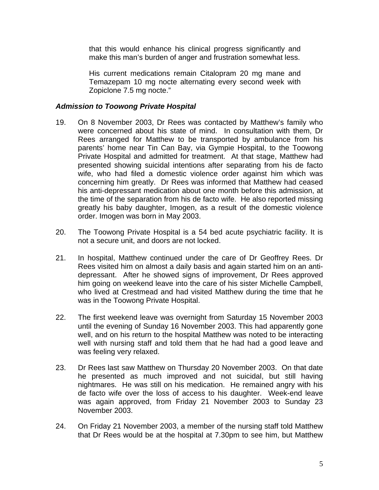that this would enhance his clinical progress significantly and make this man's burden of anger and frustration somewhat less.

His current medications remain Citalopram 20 mg mane and Temazepam 10 mg nocte alternating every second week with Zopiclone 7.5 mg nocte."

#### *Admission to Toowong Private Hospital*

- 19. On 8 November 2003, Dr Rees was contacted by Matthew's family who were concerned about his state of mind. In consultation with them, Dr Rees arranged for Matthew to be transported by ambulance from his parents' home near Tin Can Bay, via Gympie Hospital, to the Toowong Private Hospital and admitted for treatment. At that stage, Matthew had presented showing suicidal intentions after separating from his de facto wife, who had filed a domestic violence order against him which was concerning him greatly. Dr Rees was informed that Matthew had ceased his anti-depressant medication about one month before this admission, at the time of the separation from his de facto wife. He also reported missing greatly his baby daughter, Imogen, as a result of the domestic violence order. Imogen was born in May 2003.
- 20. The Toowong Private Hospital is a 54 bed acute psychiatric facility. It is not a secure unit, and doors are not locked.
- 21. In hospital, Matthew continued under the care of Dr Geoffrey Rees. Dr Rees visited him on almost a daily basis and again started him on an antidepressant. After he showed signs of improvement, Dr Rees approved him going on weekend leave into the care of his sister Michelle Campbell, who lived at Crestmead and had visited Matthew during the time that he was in the Toowong Private Hospital.
- 22. The first weekend leave was overnight from Saturday 15 November 2003 until the evening of Sunday 16 November 2003. This had apparently gone well, and on his return to the hospital Matthew was noted to be interacting well with nursing staff and told them that he had had a good leave and was feeling very relaxed.
- 23. Dr Rees last saw Matthew on Thursday 20 November 2003. On that date he presented as much improved and not suicidal, but still having nightmares. He was still on his medication. He remained angry with his de facto wife over the loss of access to his daughter. Week-end leave was again approved, from Friday 21 November 2003 to Sunday 23 November 2003.
- 24. On Friday 21 November 2003, a member of the nursing staff told Matthew that Dr Rees would be at the hospital at 7.30pm to see him, but Matthew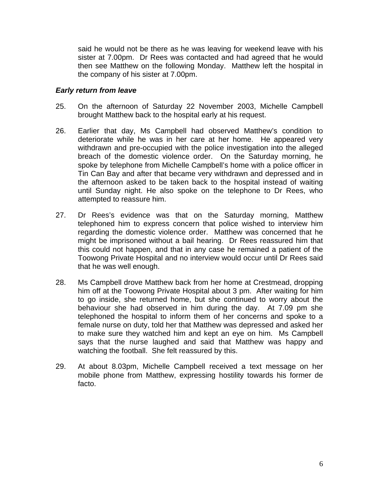said he would not be there as he was leaving for weekend leave with his sister at 7.00pm. Dr Rees was contacted and had agreed that he would then see Matthew on the following Monday. Matthew left the hospital in the company of his sister at 7.00pm.

#### *Early return from leave*

- 25. On the afternoon of Saturday 22 November 2003, Michelle Campbell brought Matthew back to the hospital early at his request.
- 26. Earlier that day, Ms Campbell had observed Matthew's condition to deteriorate while he was in her care at her home. He appeared very withdrawn and pre-occupied with the police investigation into the alleged breach of the domestic violence order. On the Saturday morning, he spoke by telephone from Michelle Campbell's home with a police officer in Tin Can Bay and after that became very withdrawn and depressed and in the afternoon asked to be taken back to the hospital instead of waiting until Sunday night. He also spoke on the telephone to Dr Rees, who attempted to reassure him.
- 27. Dr Rees's evidence was that on the Saturday morning, Matthew telephoned him to express concern that police wished to interview him regarding the domestic violence order. Matthew was concerned that he might be imprisoned without a bail hearing. Dr Rees reassured him that this could not happen, and that in any case he remained a patient of the Toowong Private Hospital and no interview would occur until Dr Rees said that he was well enough.
- 28. Ms Campbell drove Matthew back from her home at Crestmead, dropping him off at the Toowong Private Hospital about 3 pm. After waiting for him to go inside, she returned home, but she continued to worry about the behaviour she had observed in him during the day. At 7.09 pm she telephoned the hospital to inform them of her concerns and spoke to a female nurse on duty, told her that Matthew was depressed and asked her to make sure they watched him and kept an eye on him. Ms Campbell says that the nurse laughed and said that Matthew was happy and watching the football. She felt reassured by this.
- 29. At about 8.03pm, Michelle Campbell received a text message on her mobile phone from Matthew, expressing hostility towards his former de facto.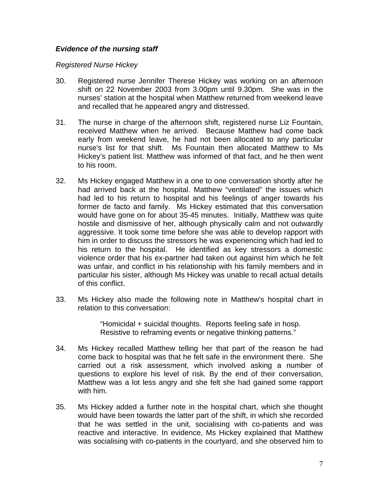# *Evidence of the nursing staff*

#### *Registered Nurse Hickey*

- 30. Registered nurse Jennifer Therese Hickey was working on an afternoon shift on 22 November 2003 from 3.00pm until 9.30pm. She was in the nurses' station at the hospital when Matthew returned from weekend leave and recalled that he appeared angry and distressed.
- 31. The nurse in charge of the afternoon shift, registered nurse Liz Fountain, received Matthew when he arrived. Because Matthew had come back early from weekend leave, he had not been allocated to any particular nurse's list for that shift. Ms Fountain then allocated Matthew to Ms Hickey's patient list. Matthew was informed of that fact, and he then went to his room.
- 32. Ms Hickey engaged Matthew in a one to one conversation shortly after he had arrived back at the hospital. Matthew "ventilated" the issues which had led to his return to hospital and his feelings of anger towards his former de facto and family. Ms Hickey estimated that this conversation would have gone on for about 35-45 minutes. Initially, Matthew was quite hostile and dismissive of her, although physically calm and not outwardly aggressive. It took some time before she was able to develop rapport with him in order to discuss the stressors he was experiencing which had led to his return to the hospital. He identified as key stressors a domestic violence order that his ex-partner had taken out against him which he felt was unfair, and conflict in his relationship with his family members and in particular his sister, although Ms Hickey was unable to recall actual details of this conflict.
- 33. Ms Hickey also made the following note in Matthew's hospital chart in relation to this conversation:

"Homicidal + suicidal thoughts. Reports feeling safe in hosp. Resistive to reframing events or negative thinking patterns."

- 34. Ms Hickey recalled Matthew telling her that part of the reason he had come back to hospital was that he felt safe in the environment there. She carried out a risk assessment, which involved asking a number of questions to explore his level of risk. By the end of their conversation, Matthew was a lot less angry and she felt she had gained some rapport with him.
- 35. Ms Hickey added a further note in the hospital chart, which she thought would have been towards the latter part of the shift, in which she recorded that he was settled in the unit, socialising with co-patients and was reactive and interactive. In evidence, Ms Hickey explained that Matthew was socialising with co-patients in the courtyard, and she observed him to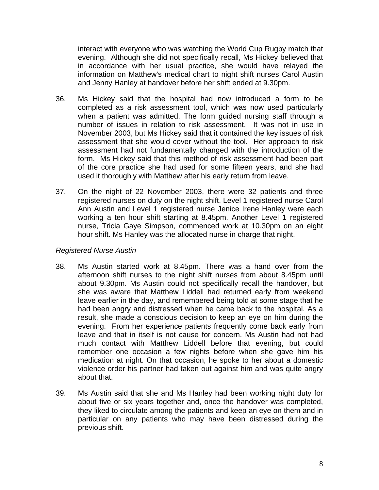interact with everyone who was watching the World Cup Rugby match that evening. Although she did not specifically recall, Ms Hickey believed that in accordance with her usual practice, she would have relayed the information on Matthew's medical chart to night shift nurses Carol Austin and Jenny Hanley at handover before her shift ended at 9.30pm.

- 36. Ms Hickey said that the hospital had now introduced a form to be completed as a risk assessment tool, which was now used particularly when a patient was admitted. The form guided nursing staff through a number of issues in relation to risk assessment. It was not in use in November 2003, but Ms Hickey said that it contained the key issues of risk assessment that she would cover without the tool. Her approach to risk assessment had not fundamentally changed with the introduction of the form. Ms Hickey said that this method of risk assessment had been part of the core practice she had used for some fifteen years, and she had used it thoroughly with Matthew after his early return from leave.
- 37. On the night of 22 November 2003, there were 32 patients and three registered nurses on duty on the night shift. Level 1 registered nurse Carol Ann Austin and Level 1 registered nurse Jenice Irene Hanley were each working a ten hour shift starting at 8.45pm. Another Level 1 registered nurse, Tricia Gaye Simpson, commenced work at 10.30pm on an eight hour shift. Ms Hanley was the allocated nurse in charge that night.

# *Registered Nurse Austin*

- 38. Ms Austin started work at 8.45pm. There was a hand over from the afternoon shift nurses to the night shift nurses from about 8.45pm until about 9.30pm. Ms Austin could not specifically recall the handover, but she was aware that Matthew Liddell had returned early from weekend leave earlier in the day, and remembered being told at some stage that he had been angry and distressed when he came back to the hospital. As a result, she made a conscious decision to keep an eye on him during the evening. From her experience patients frequently come back early from leave and that in itself is not cause for concern. Ms Austin had not had much contact with Matthew Liddell before that evening, but could remember one occasion a few nights before when she gave him his medication at night. On that occasion, he spoke to her about a domestic violence order his partner had taken out against him and was quite angry about that.
- 39. Ms Austin said that she and Ms Hanley had been working night duty for about five or six years together and, once the handover was completed, they liked to circulate among the patients and keep an eye on them and in particular on any patients who may have been distressed during the previous shift.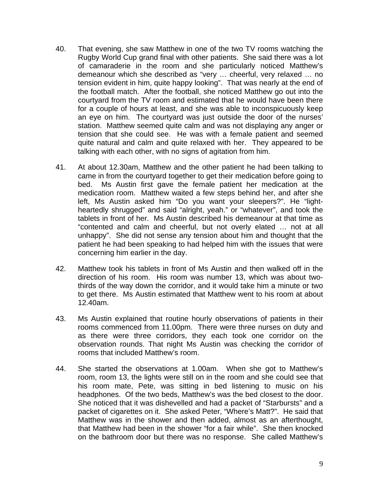- 40. That evening, she saw Matthew in one of the two TV rooms watching the Rugby World Cup grand final with other patients. She said there was a lot of camaraderie in the room and she particularly noticed Matthew's demeanour which she described as "very … cheerful, very relaxed … no tension evident in him, quite happy looking". That was nearly at the end of the football match. After the football, she noticed Matthew go out into the courtyard from the TV room and estimated that he would have been there for a couple of hours at least, and she was able to inconspicuously keep an eye on him. The courtyard was just outside the door of the nurses' station. Matthew seemed quite calm and was not displaying any anger or tension that she could see. He was with a female patient and seemed quite natural and calm and quite relaxed with her. They appeared to be talking with each other, with no signs of agitation from him.
- 41. At about 12.30am, Matthew and the other patient he had been talking to came in from the courtyard together to get their medication before going to bed. Ms Austin first gave the female patient her medication at the medication room. Matthew waited a few steps behind her, and after she left, Ms Austin asked him "Do you want your sleepers?". He "lightheartedly shrugged" and said "alright, yeah." or "whatever", and took the tablets in front of her. Ms Austin described his demeanour at that time as "contented and calm and cheerful, but not overly elated … not at all unhappy". She did not sense any tension about him and thought that the patient he had been speaking to had helped him with the issues that were concerning him earlier in the day.
- 42. Matthew took his tablets in front of Ms Austin and then walked off in the direction of his room. His room was number 13, which was about twothirds of the way down the corridor, and it would take him a minute or two to get there. Ms Austin estimated that Matthew went to his room at about 12.40am.
- 43. Ms Austin explained that routine hourly observations of patients in their rooms commenced from 11.00pm. There were three nurses on duty and as there were three corridors, they each took one corridor on the observation rounds. That night Ms Austin was checking the corridor of rooms that included Matthew's room.
- 44. She started the observations at 1.00am. When she got to Matthew's room, room 13, the lights were still on in the room and she could see that his room mate, Pete, was sitting in bed listening to music on his headphones. Of the two beds, Matthew's was the bed closest to the door. She noticed that it was dishevelled and had a packet of "Starbursts" and a packet of cigarettes on it. She asked Peter, "Where's Matt?". He said that Matthew was in the shower and then added, almost as an afterthought, that Matthew had been in the shower "for a fair while". She then knocked on the bathroom door but there was no response. She called Matthew's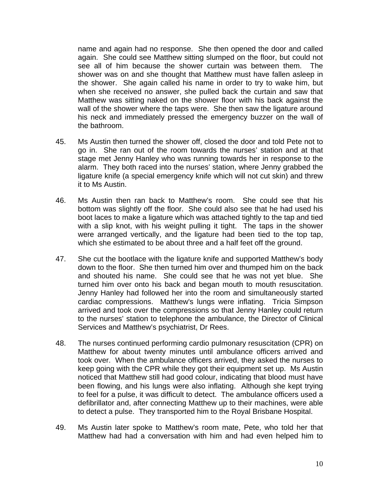name and again had no response. She then opened the door and called again. She could see Matthew sitting slumped on the floor, but could not see all of him because the shower curtain was between them. The shower was on and she thought that Matthew must have fallen asleep in the shower. She again called his name in order to try to wake him, but when she received no answer, she pulled back the curtain and saw that Matthew was sitting naked on the shower floor with his back against the wall of the shower where the taps were. She then saw the ligature around his neck and immediately pressed the emergency buzzer on the wall of the bathroom.

- 45. Ms Austin then turned the shower off, closed the door and told Pete not to go in. She ran out of the room towards the nurses' station and at that stage met Jenny Hanley who was running towards her in response to the alarm. They both raced into the nurses' station, where Jenny grabbed the ligature knife (a special emergency knife which will not cut skin) and threw it to Ms Austin.
- 46. Ms Austin then ran back to Matthew's room. She could see that his bottom was slightly off the floor. She could also see that he had used his boot laces to make a ligature which was attached tightly to the tap and tied with a slip knot, with his weight pulling it tight. The taps in the shower were arranged vertically, and the ligature had been tied to the top tap, which she estimated to be about three and a half feet off the ground.
- 47. She cut the bootlace with the ligature knife and supported Matthew's body down to the floor. She then turned him over and thumped him on the back and shouted his name. She could see that he was not yet blue. She turned him over onto his back and began mouth to mouth resuscitation. Jenny Hanley had followed her into the room and simultaneously started cardiac compressions. Matthew's lungs were inflating. Tricia Simpson arrived and took over the compressions so that Jenny Hanley could return to the nurses' station to telephone the ambulance, the Director of Clinical Services and Matthew's psychiatrist, Dr Rees.
- 48. The nurses continued performing cardio pulmonary resuscitation (CPR) on Matthew for about twenty minutes until ambulance officers arrived and took over. When the ambulance officers arrived, they asked the nurses to keep going with the CPR while they got their equipment set up. Ms Austin noticed that Matthew still had good colour, indicating that blood must have been flowing, and his lungs were also inflating. Although she kept trying to feel for a pulse, it was difficult to detect. The ambulance officers used a defibrillator and, after connecting Matthew up to their machines, were able to detect a pulse. They transported him to the Royal Brisbane Hospital.
- 49. Ms Austin later spoke to Matthew's room mate, Pete, who told her that Matthew had had a conversation with him and had even helped him to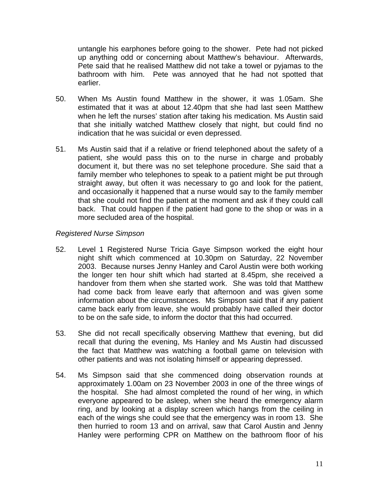untangle his earphones before going to the shower. Pete had not picked up anything odd or concerning about Matthew's behaviour. Afterwards, Pete said that he realised Matthew did not take a towel or pyjamas to the bathroom with him. Pete was annoyed that he had not spotted that earlier.

- 50. When Ms Austin found Matthew in the shower, it was 1.05am. She estimated that it was at about 12.40pm that she had last seen Matthew when he left the nurses' station after taking his medication. Ms Austin said that she initially watched Matthew closely that night, but could find no indication that he was suicidal or even depressed.
- 51. Ms Austin said that if a relative or friend telephoned about the safety of a patient, she would pass this on to the nurse in charge and probably document it, but there was no set telephone procedure. She said that a family member who telephones to speak to a patient might be put through straight away, but often it was necessary to go and look for the patient, and occasionally it happened that a nurse would say to the family member that she could not find the patient at the moment and ask if they could call back. That could happen if the patient had gone to the shop or was in a more secluded area of the hospital.

# *Registered Nurse Simpson*

- 52. Level 1 Registered Nurse Tricia Gaye Simpson worked the eight hour night shift which commenced at 10.30pm on Saturday, 22 November 2003. Because nurses Jenny Hanley and Carol Austin were both working the longer ten hour shift which had started at 8.45pm, she received a handover from them when she started work. She was told that Matthew had come back from leave early that afternoon and was given some information about the circumstances. Ms Simpson said that if any patient came back early from leave, she would probably have called their doctor to be on the safe side, to inform the doctor that this had occurred.
- 53. She did not recall specifically observing Matthew that evening, but did recall that during the evening, Ms Hanley and Ms Austin had discussed the fact that Matthew was watching a football game on television with other patients and was not isolating himself or appearing depressed.
- 54. Ms Simpson said that she commenced doing observation rounds at approximately 1.00am on 23 November 2003 in one of the three wings of the hospital. She had almost completed the round of her wing, in which everyone appeared to be asleep, when she heard the emergency alarm ring, and by looking at a display screen which hangs from the ceiling in each of the wings she could see that the emergency was in room 13. She then hurried to room 13 and on arrival, saw that Carol Austin and Jenny Hanley were performing CPR on Matthew on the bathroom floor of his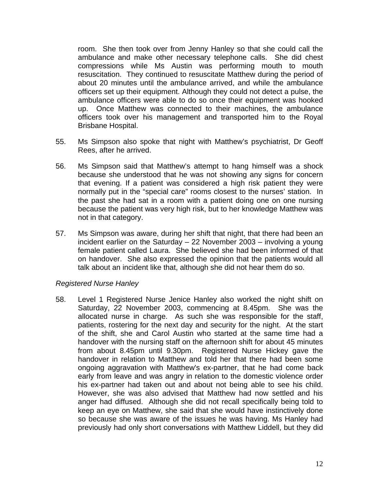room. She then took over from Jenny Hanley so that she could call the ambulance and make other necessary telephone calls. She did chest compressions while Ms Austin was performing mouth to mouth resuscitation. They continued to resuscitate Matthew during the period of about 20 minutes until the ambulance arrived, and while the ambulance officers set up their equipment. Although they could not detect a pulse, the ambulance officers were able to do so once their equipment was hooked up. Once Matthew was connected to their machines, the ambulance officers took over his management and transported him to the Royal Brisbane Hospital.

- 55. Ms Simpson also spoke that night with Matthew's psychiatrist, Dr Geoff Rees, after he arrived.
- 56. Ms Simpson said that Matthew's attempt to hang himself was a shock because she understood that he was not showing any signs for concern that evening. If a patient was considered a high risk patient they were normally put in the "special care" rooms closest to the nurses' station. In the past she had sat in a room with a patient doing one on one nursing because the patient was very high risk, but to her knowledge Matthew was not in that category.
- 57. Ms Simpson was aware, during her shift that night, that there had been an incident earlier on the Saturday – 22 November 2003 – involving a young female patient called Laura. She believed she had been informed of that on handover. She also expressed the opinion that the patients would all talk about an incident like that, although she did not hear them do so.

# *Registered Nurse Hanley*

58. Level 1 Registered Nurse Jenice Hanley also worked the night shift on Saturday, 22 November 2003, commencing at 8.45pm. She was the allocated nurse in charge. As such she was responsible for the staff, patients, rostering for the next day and security for the night. At the start of the shift, she and Carol Austin who started at the same time had a handover with the nursing staff on the afternoon shift for about 45 minutes from about 8.45pm until 9.30pm. Registered Nurse Hickey gave the handover in relation to Matthew and told her that there had been some ongoing aggravation with Matthew's ex-partner, that he had come back early from leave and was angry in relation to the domestic violence order his ex-partner had taken out and about not being able to see his child. However, she was also advised that Matthew had now settled and his anger had diffused. Although she did not recall specifically being told to keep an eye on Matthew, she said that she would have instinctively done so because she was aware of the issues he was having. Ms Hanley had previously had only short conversations with Matthew Liddell, but they did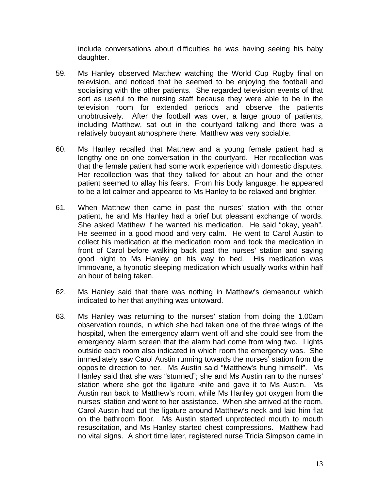include conversations about difficulties he was having seeing his baby daughter.

- 59. Ms Hanley observed Matthew watching the World Cup Rugby final on television, and noticed that he seemed to be enjoying the football and socialising with the other patients. She regarded television events of that sort as useful to the nursing staff because they were able to be in the television room for extended periods and observe the patients unobtrusively. After the football was over, a large group of patients, including Matthew, sat out in the courtyard talking and there was a relatively buoyant atmosphere there. Matthew was very sociable.
- 60. Ms Hanley recalled that Matthew and a young female patient had a lengthy one on one conversation in the courtyard. Her recollection was that the female patient had some work experience with domestic disputes. Her recollection was that they talked for about an hour and the other patient seemed to allay his fears. From his body language, he appeared to be a lot calmer and appeared to Ms Hanley to be relaxed and brighter.
- 61. When Matthew then came in past the nurses' station with the other patient, he and Ms Hanley had a brief but pleasant exchange of words. She asked Matthew if he wanted his medication. He said "okay, yeah". He seemed in a good mood and very calm. He went to Carol Austin to collect his medication at the medication room and took the medication in front of Carol before walking back past the nurses' station and saying good night to Ms Hanley on his way to bed. His medication was Immovane, a hypnotic sleeping medication which usually works within half an hour of being taken.
- 62. Ms Hanley said that there was nothing in Matthew's demeanour which indicated to her that anything was untoward.
- 63. Ms Hanley was returning to the nurses' station from doing the 1.00am observation rounds, in which she had taken one of the three wings of the hospital, when the emergency alarm went off and she could see from the emergency alarm screen that the alarm had come from wing two. Lights outside each room also indicated in which room the emergency was. She immediately saw Carol Austin running towards the nurses' station from the opposite direction to her. Ms Austin said "Matthew's hung himself". Ms Hanley said that she was "stunned"; she and Ms Austin ran to the nurses' station where she got the ligature knife and gave it to Ms Austin. Ms Austin ran back to Matthew's room, while Ms Hanley got oxygen from the nurses' station and went to her assistance. When she arrived at the room, Carol Austin had cut the ligature around Matthew's neck and laid him flat on the bathroom floor. Ms Austin started unprotected mouth to mouth resuscitation, and Ms Hanley started chest compressions. Matthew had no vital signs. A short time later, registered nurse Tricia Simpson came in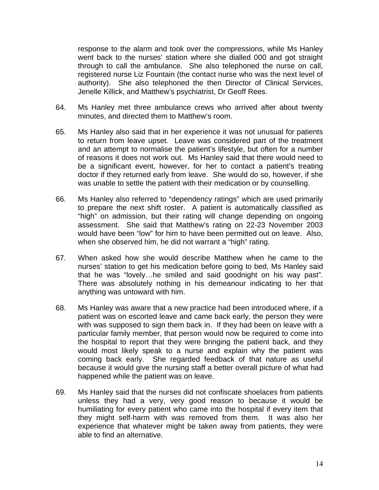response to the alarm and took over the compressions, while Ms Hanley went back to the nurses' station where she dialled 000 and got straight through to call the ambulance. She also telephoned the nurse on call, registered nurse Liz Fountain (the contact nurse who was the next level of authority). She also telephoned the then Director of Clinical Services, Jenelle Killick, and Matthew's psychiatrist, Dr Geoff Rees.

- 64. Ms Hanley met three ambulance crews who arrived after about twenty minutes, and directed them to Matthew's room.
- 65. Ms Hanley also said that in her experience it was not unusual for patients to return from leave upset. Leave was considered part of the treatment and an attempt to normalise the patient's lifestyle, but often for a number of reasons it does not work out. Ms Hanley said that there would need to be a significant event, however, for her to contact a patient's treating doctor if they returned early from leave. She would do so, however, if she was unable to settle the patient with their medication or by counselling.
- 66. Ms Hanley also referred to "dependency ratings" which are used primarily to prepare the next shift roster. A patient is automatically classified as "high" on admission, but their rating will change depending on ongoing assessment. She said that Matthew's rating on 22-23 November 2003 would have been "low" for him to have been permitted out on leave. Also, when she observed him, he did not warrant a "high" rating.
- 67. When asked how she would describe Matthew when he came to the nurses' station to get his medication before going to bed, Ms Hanley said that he was "lovely…he smiled and said goodnight on his way past". There was absolutely nothing in his demeanour indicating to her that anything was untoward with him.
- 68. Ms Hanley was aware that a new practice had been introduced where, if a patient was on escorted leave and came back early, the person they were with was supposed to sign them back in. If they had been on leave with a particular family member, that person would now be required to come into the hospital to report that they were bringing the patient back, and they would most likely speak to a nurse and explain why the patient was coming back early. She regarded feedback of that nature as useful because it would give the nursing staff a better overall picture of what had happened while the patient was on leave.
- 69. Ms Hanley said that the nurses did not confiscate shoelaces from patients unless they had a very, very good reason to because it would be humiliating for every patient who came into the hospital if every item that they might self-harm with was removed from them. It was also her experience that whatever might be taken away from patients, they were able to find an alternative.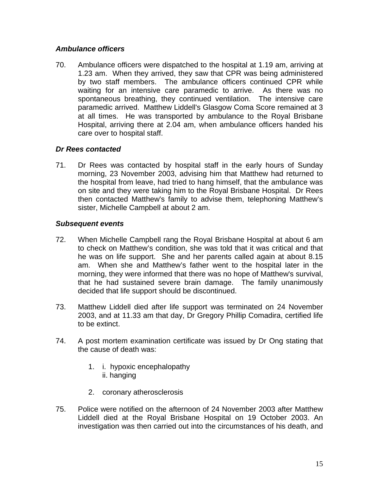# *Ambulance officers*

70. Ambulance officers were dispatched to the hospital at 1.19 am, arriving at 1.23 am. When they arrived, they saw that CPR was being administered by two staff members. The ambulance officers continued CPR while waiting for an intensive care paramedic to arrive. As there was no spontaneous breathing, they continued ventilation. The intensive care paramedic arrived. Matthew Liddell's Glasgow Coma Score remained at 3 at all times. He was transported by ambulance to the Royal Brisbane Hospital, arriving there at 2.04 am, when ambulance officers handed his care over to hospital staff.

# *Dr Rees contacted*

71. Dr Rees was contacted by hospital staff in the early hours of Sunday morning, 23 November 2003, advising him that Matthew had returned to the hospital from leave, had tried to hang himself, that the ambulance was on site and they were taking him to the Royal Brisbane Hospital. Dr Rees then contacted Matthew's family to advise them, telephoning Matthew's sister, Michelle Campbell at about 2 am.

# *Subsequent events*

- 72. When Michelle Campbell rang the Royal Brisbane Hospital at about 6 am to check on Matthew's condition, she was told that it was critical and that he was on life support. She and her parents called again at about 8.15 am. When she and Matthew's father went to the hospital later in the morning, they were informed that there was no hope of Matthew's survival, that he had sustained severe brain damage. The family unanimously decided that life support should be discontinued.
- 73. Matthew Liddell died after life support was terminated on 24 November 2003, and at 11.33 am that day, Dr Gregory Phillip Comadira, certified life to be extinct.
- 74. A post mortem examination certificate was issued by Dr Ong stating that the cause of death was:
	- 1. i. hypoxic encephalopathy ii. hanging
	- 2. coronary atherosclerosis
- 75. Police were notified on the afternoon of 24 November 2003 after Matthew Liddell died at the Royal Brisbane Hospital on 19 October 2003. An investigation was then carried out into the circumstances of his death, and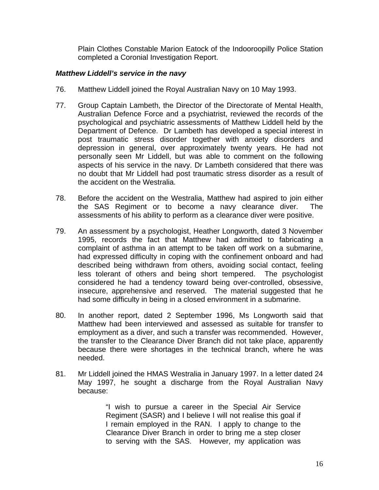Plain Clothes Constable Marion Eatock of the Indooroopilly Police Station completed a Coronial Investigation Report.

#### *Matthew Liddell's service in the navy*

- 76. Matthew Liddell joined the Royal Australian Navy on 10 May 1993.
- 77. Group Captain Lambeth, the Director of the Directorate of Mental Health, Australian Defence Force and a psychiatrist, reviewed the records of the psychological and psychiatric assessments of Matthew Liddell held by the Department of Defence. Dr Lambeth has developed a special interest in post traumatic stress disorder together with anxiety disorders and depression in general, over approximately twenty years. He had not personally seen Mr Liddell, but was able to comment on the following aspects of his service in the navy. Dr Lambeth considered that there was no doubt that Mr Liddell had post traumatic stress disorder as a result of the accident on the Westralia.
- 78. Before the accident on the Westralia, Matthew had aspired to join either the SAS Regiment or to become a navy clearance diver. The assessments of his ability to perform as a clearance diver were positive.
- 79. An assessment by a psychologist, Heather Longworth, dated 3 November 1995, records the fact that Matthew had admitted to fabricating a complaint of asthma in an attempt to be taken off work on a submarine, had expressed difficulty in coping with the confinement onboard and had described being withdrawn from others, avoiding social contact, feeling less tolerant of others and being short tempered. The psychologist considered he had a tendency toward being over-controlled, obsessive, insecure, apprehensive and reserved. The material suggested that he had some difficulty in being in a closed environment in a submarine.
- 80. In another report, dated 2 September 1996, Ms Longworth said that Matthew had been interviewed and assessed as suitable for transfer to employment as a diver, and such a transfer was recommended. However, the transfer to the Clearance Diver Branch did not take place, apparently because there were shortages in the technical branch, where he was needed.
- 81. Mr Liddell joined the HMAS Westralia in January 1997. In a letter dated 24 May 1997, he sought a discharge from the Royal Australian Navy because:

"I wish to pursue a career in the Special Air Service Regiment (SASR) and I believe I will not realise this goal if I remain employed in the RAN. I apply to change to the Clearance Diver Branch in order to bring me a step closer to serving with the SAS. However, my application was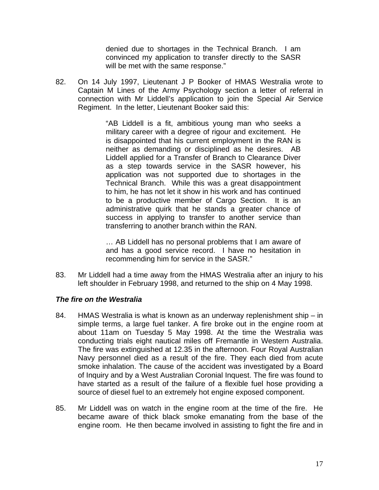denied due to shortages in the Technical Branch. I am convinced my application to transfer directly to the SASR will be met with the same response."

82. On 14 July 1997, Lieutenant J P Booker of HMAS Westralia wrote to Captain M Lines of the Army Psychology section a letter of referral in connection with Mr Liddell's application to join the Special Air Service Regiment. In the letter, Lieutenant Booker said this:

> "AB Liddell is a fit, ambitious young man who seeks a military career with a degree of rigour and excitement. He is disappointed that his current employment in the RAN is neither as demanding or disciplined as he desires. AB Liddell applied for a Transfer of Branch to Clearance Diver as a step towards service in the SASR however, his application was not supported due to shortages in the Technical Branch. While this was a great disappointment to him, he has not let it show in his work and has continued to be a productive member of Cargo Section. It is an administrative quirk that he stands a greater chance of success in applying to transfer to another service than transferring to another branch within the RAN.

> … AB Liddell has no personal problems that I am aware of and has a good service record. I have no hesitation in recommending him for service in the SASR."

83. Mr Liddell had a time away from the HMAS Westralia after an injury to his left shoulder in February 1998, and returned to the ship on 4 May 1998.

# *The fire on the Westralia*

- 84. HMAS Westralia is what is known as an underway replenishment ship in simple terms, a large fuel tanker. A fire broke out in the engine room at about 11am on Tuesday 5 May 1998. At the time the Westralia was conducting trials eight nautical miles off Fremantle in Western Australia. The fire was extinguished at 12.35 in the afternoon. Four Royal Australian Navy personnel died as a result of the fire. They each died from acute smoke inhalation. The cause of the accident was investigated by a Board of Inquiry and by a West Australian Coronial Inquest. The fire was found to have started as a result of the failure of a flexible fuel hose providing a source of diesel fuel to an extremely hot engine exposed component.
- 85. Mr Liddell was on watch in the engine room at the time of the fire. He became aware of thick black smoke emanating from the base of the engine room. He then became involved in assisting to fight the fire and in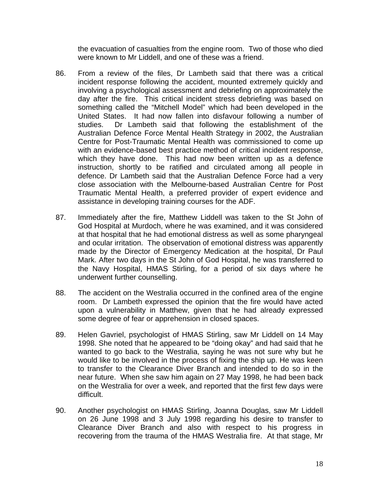the evacuation of casualties from the engine room. Two of those who died were known to Mr Liddell, and one of these was a friend.

- 86. From a review of the files, Dr Lambeth said that there was a critical incident response following the accident, mounted extremely quickly and involving a psychological assessment and debriefing on approximately the day after the fire. This critical incident stress debriefing was based on something called the "Mitchell Model" which had been developed in the United States. It had now fallen into disfavour following a number of studies. Dr Lambeth said that following the establishment of the Australian Defence Force Mental Health Strategy in 2002, the Australian Centre for Post-Traumatic Mental Health was commissioned to come up with an evidence-based best practice method of critical incident response, which they have done. This had now been written up as a defence instruction, shortly to be ratified and circulated among all people in defence. Dr Lambeth said that the Australian Defence Force had a very close association with the Melbourne-based Australian Centre for Post Traumatic Mental Health, a preferred provider of expert evidence and assistance in developing training courses for the ADF.
- 87. Immediately after the fire, Matthew Liddell was taken to the St John of God Hospital at Murdoch, where he was examined, and it was considered at that hospital that he had emotional distress as well as some pharyngeal and ocular irritation. The observation of emotional distress was apparently made by the Director of Emergency Medication at the hospital, Dr Paul Mark. After two days in the St John of God Hospital, he was transferred to the Navy Hospital, HMAS Stirling, for a period of six days where he underwent further counselling.
- 88. The accident on the Westralia occurred in the confined area of the engine room. Dr Lambeth expressed the opinion that the fire would have acted upon a vulnerability in Matthew, given that he had already expressed some degree of fear or apprehension in closed spaces.
- 89. Helen Gavriel, psychologist of HMAS Stirling, saw Mr Liddell on 14 May 1998. She noted that he appeared to be "doing okay" and had said that he wanted to go back to the Westralia, saying he was not sure why but he would like to be involved in the process of fixing the ship up. He was keen to transfer to the Clearance Diver Branch and intended to do so in the near future. When she saw him again on 27 May 1998, he had been back on the Westralia for over a week, and reported that the first few days were difficult.
- 90. Another psychologist on HMAS Stirling, Joanna Douglas, saw Mr Liddell on 26 June 1998 and 3 July 1998 regarding his desire to transfer to Clearance Diver Branch and also with respect to his progress in recovering from the trauma of the HMAS Westralia fire. At that stage, Mr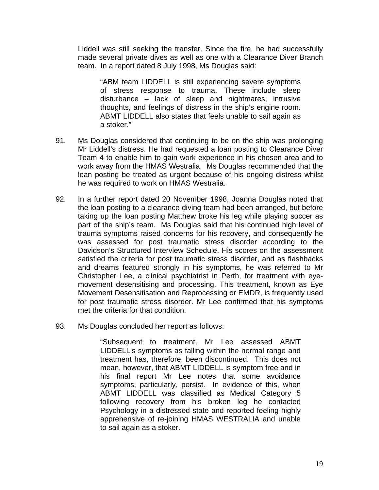Liddell was still seeking the transfer. Since the fire, he had successfully made several private dives as well as one with a Clearance Diver Branch team. In a report dated 8 July 1998, Ms Douglas said:

"ABM team LIDDELL is still experiencing severe symptoms of stress response to trauma. These include sleep disturbance – lack of sleep and nightmares, intrusive thoughts, and feelings of distress in the ship's engine room. ABMT LIDDELL also states that feels unable to sail again as a stoker."

- 91. Ms Douglas considered that continuing to be on the ship was prolonging Mr Liddell's distress. He had requested a loan posting to Clearance Diver Team 4 to enable him to gain work experience in his chosen area and to work away from the HMAS Westralia. Ms Douglas recommended that the loan posting be treated as urgent because of his ongoing distress whilst he was required to work on HMAS Westralia.
- 92. In a further report dated 20 November 1998, Joanna Douglas noted that the loan posting to a clearance diving team had been arranged, but before taking up the loan posting Matthew broke his leg while playing soccer as part of the ship's team. Ms Douglas said that his continued high level of trauma symptoms raised concerns for his recovery, and consequently he was assessed for post traumatic stress disorder according to the Davidson's Structured Interview Schedule. His scores on the assessment satisfied the criteria for post traumatic stress disorder, and as flashbacks and dreams featured strongly in his symptoms, he was referred to Mr Christopher Lee, a clinical psychiatrist in Perth, for treatment with eyemovement desensitising and processing. This treatment, known as Eye Movement Desensitisation and Reprocessing or EMDR, is frequently used for post traumatic stress disorder. Mr Lee confirmed that his symptoms met the criteria for that condition.
- 93. Ms Douglas concluded her report as follows:

"Subsequent to treatment, Mr Lee assessed ABMT LIDDELL's symptoms as falling within the normal range and treatment has, therefore, been discontinued. This does not mean, however, that ABMT LIDDELL is symptom free and in his final report Mr Lee notes that some avoidance symptoms, particularly, persist. In evidence of this, when ABMT LIDDELL was classified as Medical Category 5 following recovery from his broken leg he contacted Psychology in a distressed state and reported feeling highly apprehensive of re-joining HMAS WESTRALIA and unable to sail again as a stoker.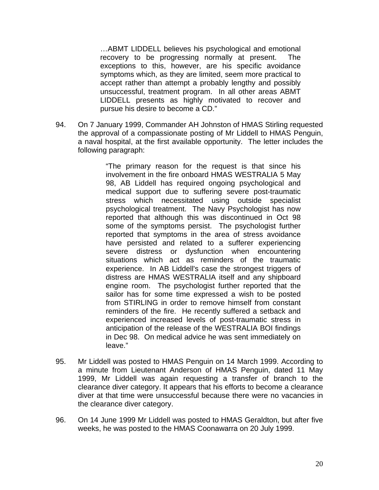…ABMT LIDDELL believes his psychological and emotional recovery to be progressing normally at present. The exceptions to this, however, are his specific avoidance symptoms which, as they are limited, seem more practical to accept rather than attempt a probably lengthy and possibly unsuccessful, treatment program. In all other areas ABMT LIDDELL presents as highly motivated to recover and pursue his desire to become a CD."

94. On 7 January 1999, Commander AH Johnston of HMAS Stirling requested the approval of a compassionate posting of Mr Liddell to HMAS Penguin, a naval hospital, at the first available opportunity. The letter includes the following paragraph:

> "The primary reason for the request is that since his involvement in the fire onboard HMAS WESTRALIA 5 May 98, AB Liddell has required ongoing psychological and medical support due to suffering severe post-traumatic stress which necessitated using outside specialist psychological treatment. The Navy Psychologist has now reported that although this was discontinued in Oct 98 some of the symptoms persist. The psychologist further reported that symptoms in the area of stress avoidance have persisted and related to a sufferer experiencing severe distress or dysfunction when encountering situations which act as reminders of the traumatic experience. In AB Liddell's case the strongest triggers of distress are HMAS WESTRALIA itself and any shipboard engine room. The psychologist further reported that the sailor has for some time expressed a wish to be posted from STIRLING in order to remove himself from constant reminders of the fire. He recently suffered a setback and experienced increased levels of post-traumatic stress in anticipation of the release of the WESTRALIA BOI findings in Dec 98. On medical advice he was sent immediately on leave."

- 95. Mr Liddell was posted to HMAS Penguin on 14 March 1999. According to a minute from Lieutenant Anderson of HMAS Penguin, dated 11 May 1999, Mr Liddell was again requesting a transfer of branch to the clearance diver category. It appears that his efforts to become a clearance diver at that time were unsuccessful because there were no vacancies in the clearance diver category.
- 96. On 14 June 1999 Mr Liddell was posted to HMAS Geraldton, but after five weeks, he was posted to the HMAS Coonawarra on 20 July 1999.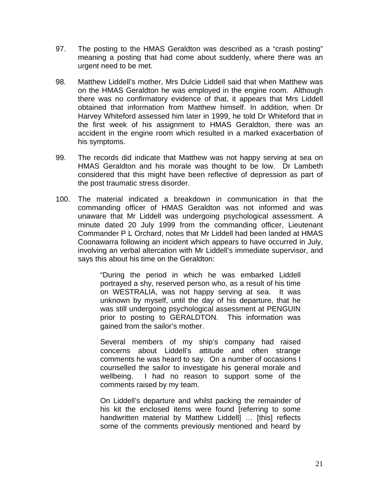- 97. The posting to the HMAS Geraldton was described as a "crash posting" meaning a posting that had come about suddenly, where there was an urgent need to be met.
- 98. Matthew Liddell's mother, Mrs Dulcie Liddell said that when Matthew was on the HMAS Geraldton he was employed in the engine room. Although there was no confirmatory evidence of that, it appears that Mrs Liddell obtained that information from Matthew himself. In addition, when Dr Harvey Whiteford assessed him later in 1999, he told Dr Whiteford that in the first week of his assignment to HMAS Geraldton, there was an accident in the engine room which resulted in a marked exacerbation of his symptoms.
- 99. The records did indicate that Matthew was not happy serving at sea on HMAS Geraldton and his morale was thought to be low. Dr Lambeth considered that this might have been reflective of depression as part of the post traumatic stress disorder.
- 100. The material indicated a breakdown in communication in that the commanding officer of HMAS Geraldton was not informed and was unaware that Mr Liddell was undergoing psychological assessment. A minute dated 20 July 1999 from the commanding officer, Lieutenant Commander P L Orchard, notes that Mr Liddell had been landed at HMAS Coonawarra following an incident which appears to have occurred in July, involving an verbal altercation with Mr Liddell's immediate supervisor, and says this about his time on the Geraldton:

"During the period in which he was embarked Liddell portrayed a shy, reserved person who, as a result of his time on WESTRALIA, was not happy serving at sea. It was unknown by myself, until the day of his departure, that he was still undergoing psychological assessment at PENGUIN prior to posting to GERALDTON. This information was gained from the sailor's mother.

Several members of my ship's company had raised concerns about Liddell's attitude and often strange comments he was heard to say. On a number of occasions I counselled the sailor to investigate his general morale and wellbeing. I had no reason to support some of the comments raised by my team.

On Liddell's departure and whilst packing the remainder of his kit the enclosed items were found [referring to some handwritten material by Matthew Liddell] … [this] reflects some of the comments previously mentioned and heard by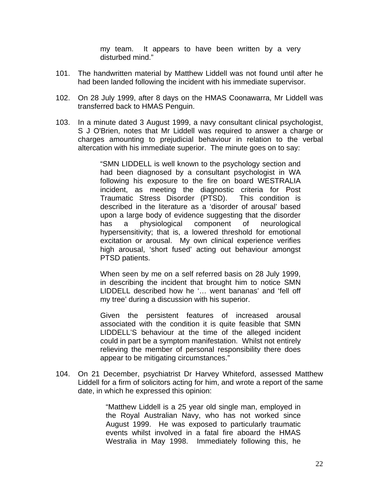my team. It appears to have been written by a very disturbed mind."

- 101. The handwritten material by Matthew Liddell was not found until after he had been landed following the incident with his immediate supervisor.
- 102. On 28 July 1999, after 8 days on the HMAS Coonawarra, Mr Liddell was transferred back to HMAS Penguin.
- 103. In a minute dated 3 August 1999, a navy consultant clinical psychologist, S J O'Brien, notes that Mr Liddell was required to answer a charge or charges amounting to prejudicial behaviour in relation to the verbal altercation with his immediate superior. The minute goes on to say:

"SMN LIDDELL is well known to the psychology section and had been diagnosed by a consultant psychologist in WA following his exposure to the fire on board WESTRALIA incident, as meeting the diagnostic criteria for Post Traumatic Stress Disorder (PTSD). This condition is described in the literature as a 'disorder of arousal' based upon a large body of evidence suggesting that the disorder has a physiological component of neurological hypersensitivity; that is, a lowered threshold for emotional excitation or arousal. My own clinical experience verifies high arousal, 'short fused' acting out behaviour amongst PTSD patients.

When seen by me on a self referred basis on 28 July 1999, in describing the incident that brought him to notice SMN LIDDELL described how he '… went bananas' and 'fell off my tree' during a discussion with his superior.

Given the persistent features of increased arousal associated with the condition it is quite feasible that SMN LIDDELL'S behaviour at the time of the alleged incident could in part be a symptom manifestation. Whilst not entirely relieving the member of personal responsibility there does appear to be mitigating circumstances."

104. On 21 December, psychiatrist Dr Harvey Whiteford, assessed Matthew Liddell for a firm of solicitors acting for him, and wrote a report of the same date, in which he expressed this opinion:

> "Matthew Liddell is a 25 year old single man, employed in the Royal Australian Navy, who has not worked since August 1999. He was exposed to particularly traumatic events whilst involved in a fatal fire aboard the HMAS Westralia in May 1998. Immediately following this, he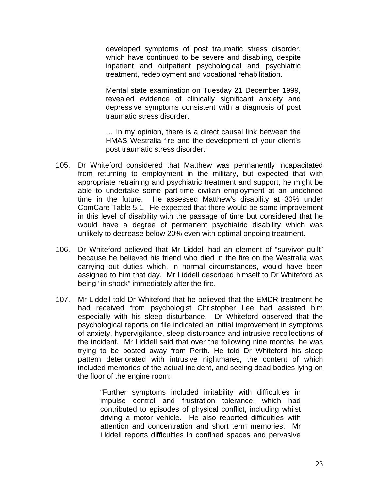developed symptoms of post traumatic stress disorder, which have continued to be severe and disabling, despite inpatient and outpatient psychological and psychiatric treatment, redeployment and vocational rehabilitation.

Mental state examination on Tuesday 21 December 1999, revealed evidence of clinically significant anxiety and depressive symptoms consistent with a diagnosis of post traumatic stress disorder.

… In my opinion, there is a direct causal link between the HMAS Westralia fire and the development of your client's post traumatic stress disorder."

- 105. Dr Whiteford considered that Matthew was permanently incapacitated from returning to employment in the military, but expected that with appropriate retraining and psychiatric treatment and support, he might be able to undertake some part-time civilian employment at an undefined time in the future. He assessed Matthew's disability at 30% under ComCare Table 5.1. He expected that there would be some improvement in this level of disability with the passage of time but considered that he would have a degree of permanent psychiatric disability which was unlikely to decrease below 20% even with optimal ongoing treatment.
- 106. Dr Whiteford believed that Mr Liddell had an element of "survivor guilt" because he believed his friend who died in the fire on the Westralia was carrying out duties which, in normal circumstances, would have been assigned to him that day. Mr Liddell described himself to Dr Whiteford as being "in shock" immediately after the fire.
- 107. Mr Liddell told Dr Whiteford that he believed that the EMDR treatment he had received from psychologist Christopher Lee had assisted him especially with his sleep disturbance. Dr Whiteford observed that the psychological reports on file indicated an initial improvement in symptoms of anxiety, hypervigilance, sleep disturbance and intrusive recollections of the incident. Mr Liddell said that over the following nine months, he was trying to be posted away from Perth. He told Dr Whiteford his sleep pattern deteriorated with intrusive nightmares, the content of which included memories of the actual incident, and seeing dead bodies lying on the floor of the engine room:

 "Further symptoms included irritability with difficulties in impulse control and frustration tolerance, which had contributed to episodes of physical conflict, including whilst driving a motor vehicle. He also reported difficulties with attention and concentration and short term memories. Mr Liddell reports difficulties in confined spaces and pervasive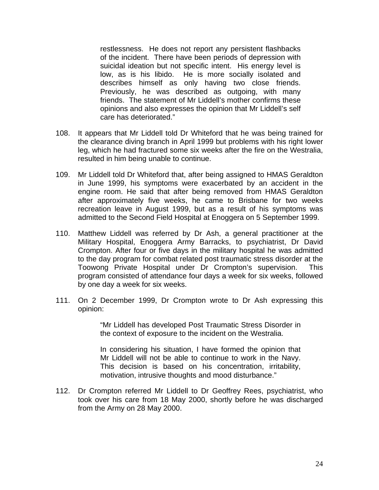restlessness. He does not report any persistent flashbacks of the incident. There have been periods of depression with suicidal ideation but not specific intent. His energy level is low, as is his libido. He is more socially isolated and describes himself as only having two close friends. Previously, he was described as outgoing, with many friends. The statement of Mr Liddell's mother confirms these opinions and also expresses the opinion that Mr Liddell's self care has deteriorated."

- 108. It appears that Mr Liddell told Dr Whiteford that he was being trained for the clearance diving branch in April 1999 but problems with his right lower leg, which he had fractured some six weeks after the fire on the Westralia, resulted in him being unable to continue.
- 109. Mr Liddell told Dr Whiteford that, after being assigned to HMAS Geraldton in June 1999, his symptoms were exacerbated by an accident in the engine room. He said that after being removed from HMAS Geraldton after approximately five weeks, he came to Brisbane for two weeks recreation leave in August 1999, but as a result of his symptoms was admitted to the Second Field Hospital at Enoggera on 5 September 1999.
- 110. Matthew Liddell was referred by Dr Ash, a general practitioner at the Military Hospital, Enoggera Army Barracks, to psychiatrist, Dr David Crompton. After four or five days in the military hospital he was admitted to the day program for combat related post traumatic stress disorder at the Toowong Private Hospital under Dr Crompton's supervision. This program consisted of attendance four days a week for six weeks, followed by one day a week for six weeks.
- 111. On 2 December 1999, Dr Crompton wrote to Dr Ash expressing this opinion:

 "Mr Liddell has developed Post Traumatic Stress Disorder in the context of exposure to the incident on the Westralia.

 In considering his situation, I have formed the opinion that Mr Liddell will not be able to continue to work in the Navy. This decision is based on his concentration, irritability, motivation, intrusive thoughts and mood disturbance."

112. Dr Crompton referred Mr Liddell to Dr Geoffrey Rees, psychiatrist, who took over his care from 18 May 2000, shortly before he was discharged from the Army on 28 May 2000.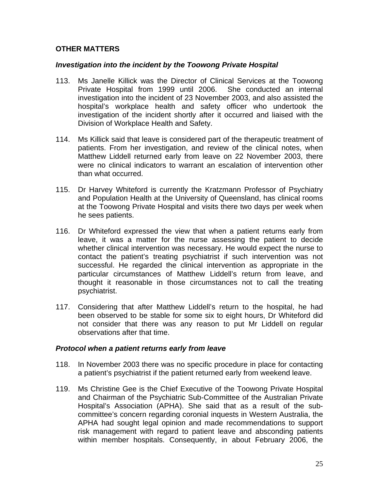# **OTHER MATTERS**

# *Investigation into the incident by the Toowong Private Hospital*

- 113. Ms Janelle Killick was the Director of Clinical Services at the Toowong Private Hospital from 1999 until 2006. She conducted an internal investigation into the incident of 23 November 2003, and also assisted the hospital's workplace health and safety officer who undertook the investigation of the incident shortly after it occurred and liaised with the Division of Workplace Health and Safety.
- 114. Ms Killick said that leave is considered part of the therapeutic treatment of patients. From her investigation, and review of the clinical notes, when Matthew Liddell returned early from leave on 22 November 2003, there were no clinical indicators to warrant an escalation of intervention other than what occurred.
- 115. Dr Harvey Whiteford is currently the Kratzmann Professor of Psychiatry and Population Health at the University of Queensland, has clinical rooms at the Toowong Private Hospital and visits there two days per week when he sees patients.
- 116. Dr Whiteford expressed the view that when a patient returns early from leave, it was a matter for the nurse assessing the patient to decide whether clinical intervention was necessary. He would expect the nurse to contact the patient's treating psychiatrist if such intervention was not successful. He regarded the clinical intervention as appropriate in the particular circumstances of Matthew Liddell's return from leave, and thought it reasonable in those circumstances not to call the treating psychiatrist.
- 117. Considering that after Matthew Liddell's return to the hospital, he had been observed to be stable for some six to eight hours, Dr Whiteford did not consider that there was any reason to put Mr Liddell on regular observations after that time.

# *Protocol when a patient returns early from leave*

- 118. In November 2003 there was no specific procedure in place for contacting a patient's psychiatrist if the patient returned early from weekend leave.
- 119. Ms Christine Gee is the Chief Executive of the Toowong Private Hospital and Chairman of the Psychiatric Sub-Committee of the Australian Private Hospital's Association (APHA). She said that as a result of the subcommittee's concern regarding coronial inquests in Western Australia, the APHA had sought legal opinion and made recommendations to support risk management with regard to patient leave and absconding patients within member hospitals. Consequently, in about February 2006, the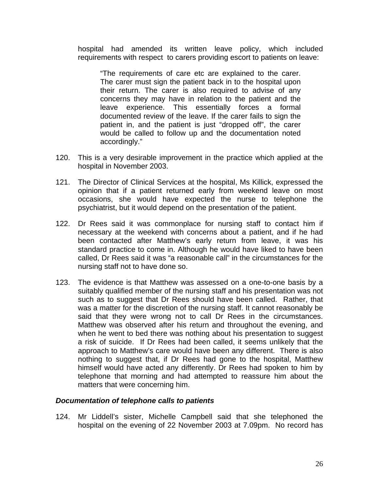hospital had amended its written leave policy, which included requirements with respect to carers providing escort to patients on leave:

"The requirements of care etc are explained to the carer. The carer must sign the patient back in to the hospital upon their return. The carer is also required to advise of any concerns they may have in relation to the patient and the leave experience. This essentially forces a formal documented review of the leave. If the carer fails to sign the patient in, and the patient is just "dropped off", the carer would be called to follow up and the documentation noted accordingly."

- 120. This is a very desirable improvement in the practice which applied at the hospital in November 2003.
- 121. The Director of Clinical Services at the hospital, Ms Killick, expressed the opinion that if a patient returned early from weekend leave on most occasions, she would have expected the nurse to telephone the psychiatrist, but it would depend on the presentation of the patient.
- 122. Dr Rees said it was commonplace for nursing staff to contact him if necessary at the weekend with concerns about a patient, and if he had been contacted after Matthew's early return from leave, it was his standard practice to come in. Although he would have liked to have been called, Dr Rees said it was "a reasonable call" in the circumstances for the nursing staff not to have done so.
- 123. The evidence is that Matthew was assessed on a one-to-one basis by a suitably qualified member of the nursing staff and his presentation was not such as to suggest that Dr Rees should have been called. Rather, that was a matter for the discretion of the nursing staff. It cannot reasonably be said that they were wrong not to call Dr Rees in the circumstances. Matthew was observed after his return and throughout the evening, and when he went to bed there was nothing about his presentation to suggest a risk of suicide. If Dr Rees had been called, it seems unlikely that the approach to Matthew's care would have been any different. There is also nothing to suggest that, if Dr Rees had gone to the hospital, Matthew himself would have acted any differently. Dr Rees had spoken to him by telephone that morning and had attempted to reassure him about the matters that were concerning him.

#### *Documentation of telephone calls to patients*

124. Mr Liddell's sister, Michelle Campbell said that she telephoned the hospital on the evening of 22 November 2003 at 7.09pm. No record has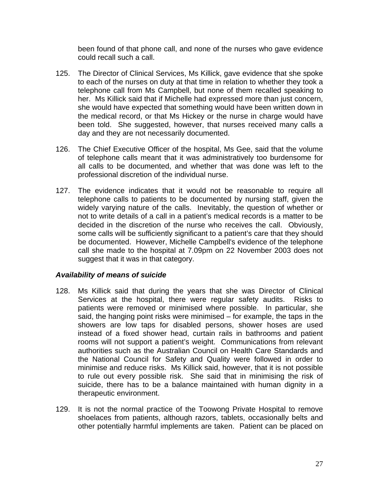been found of that phone call, and none of the nurses who gave evidence could recall such a call.

- 125. The Director of Clinical Services, Ms Killick, gave evidence that she spoke to each of the nurses on duty at that time in relation to whether they took a telephone call from Ms Campbell, but none of them recalled speaking to her. Ms Killick said that if Michelle had expressed more than just concern, she would have expected that something would have been written down in the medical record, or that Ms Hickey or the nurse in charge would have been told. She suggested, however, that nurses received many calls a day and they are not necessarily documented.
- 126. The Chief Executive Officer of the hospital, Ms Gee, said that the volume of telephone calls meant that it was administratively too burdensome for all calls to be documented, and whether that was done was left to the professional discretion of the individual nurse.
- 127. The evidence indicates that it would not be reasonable to require all telephone calls to patients to be documented by nursing staff, given the widely varying nature of the calls. Inevitably, the question of whether or not to write details of a call in a patient's medical records is a matter to be decided in the discretion of the nurse who receives the call. Obviously, some calls will be sufficiently significant to a patient's care that they should be documented. However, Michelle Campbell's evidence of the telephone call she made to the hospital at 7.09pm on 22 November 2003 does not suggest that it was in that category.

# *Availability of means of suicide*

- 128. Ms Killick said that during the years that she was Director of Clinical Services at the hospital, there were regular safety audits. Risks to patients were removed or minimised where possible. In particular, she said, the hanging point risks were minimised – for example, the taps in the showers are low taps for disabled persons, shower hoses are used instead of a fixed shower head, curtain rails in bathrooms and patient rooms will not support a patient's weight. Communications from relevant authorities such as the Australian Council on Health Care Standards and the National Council for Safety and Quality were followed in order to minimise and reduce risks. Ms Killick said, however, that it is not possible to rule out every possible risk. She said that in minimising the risk of suicide, there has to be a balance maintained with human dignity in a therapeutic environment.
- 129. It is not the normal practice of the Toowong Private Hospital to remove shoelaces from patients, although razors, tablets, occasionally belts and other potentially harmful implements are taken. Patient can be placed on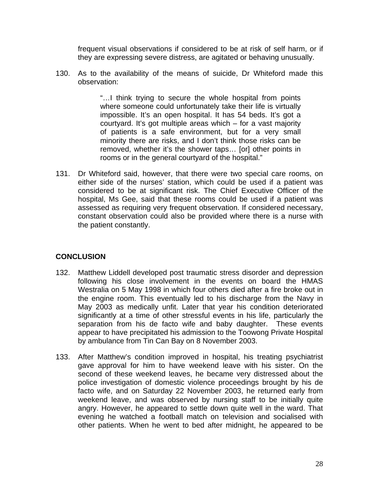frequent visual observations if considered to be at risk of self harm, or if they are expressing severe distress, are agitated or behaving unusually.

130. As to the availability of the means of suicide, Dr Whiteford made this observation:

> "…I think trying to secure the whole hospital from points where someone could unfortunately take their life is virtually impossible. It's an open hospital. It has 54 beds. It's got a courtyard. It's got multiple areas which – for a vast majority of patients is a safe environment, but for a very small minority there are risks, and I don't think those risks can be removed, whether it's the shower taps… [or] other points in rooms or in the general courtyard of the hospital."

131. Dr Whiteford said, however, that there were two special care rooms, on either side of the nurses' station, which could be used if a patient was considered to be at significant risk. The Chief Executive Officer of the hospital, Ms Gee, said that these rooms could be used if a patient was assessed as requiring very frequent observation. If considered necessary, constant observation could also be provided where there is a nurse with the patient constantly.

# **CONCLUSION**

- 132. Matthew Liddell developed post traumatic stress disorder and depression following his close involvement in the events on board the HMAS Westralia on 5 May 1998 in which four others died after a fire broke out in the engine room. This eventually led to his discharge from the Navy in May 2003 as medically unfit. Later that year his condition deteriorated significantly at a time of other stressful events in his life, particularly the separation from his de facto wife and baby daughter. These events appear to have precipitated his admission to the Toowong Private Hospital by ambulance from Tin Can Bay on 8 November 2003.
- 133. After Matthew's condition improved in hospital, his treating psychiatrist gave approval for him to have weekend leave with his sister. On the second of these weekend leaves, he became very distressed about the police investigation of domestic violence proceedings brought by his de facto wife, and on Saturday 22 November 2003, he returned early from weekend leave, and was observed by nursing staff to be initially quite angry. However, he appeared to settle down quite well in the ward. That evening he watched a football match on television and socialised with other patients. When he went to bed after midnight, he appeared to be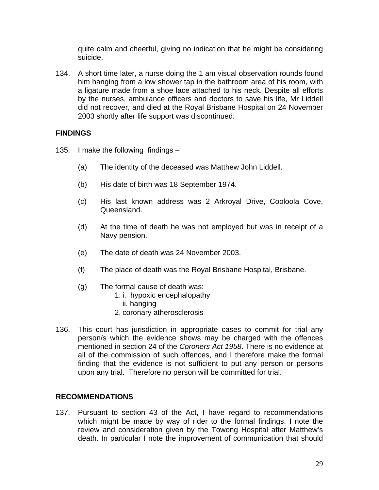quite calm and cheerful, giving no indication that he might be considering suicide.

134. A short time later, a nurse doing the 1 am visual observation rounds found him hanging from a low shower tap in the bathroom area of his room, with a ligature made from a shoe lace attached to his neck. Despite all efforts by the nurses, ambulance officers and doctors to save his life, Mr Liddell did not recover, and died at the Royal Brisbane Hospital on 24 November 2003 shortly after life support was discontinued.

# **FINDINGS**

- 135. I make the following findings
	- (a) The identity of the deceased was Matthew John Liddell.
	- (b) His date of birth was 18 September 1974.
	- (c) His last known address was 2 Arkroyal Drive, Cooloola Cove, Queensland.
	- (d) At the time of death he was not employed but was in receipt of a Navy pension.
	- (e) The date of death was 24 November 2003.
	- (f) The place of death was the Royal Brisbane Hospital, Brisbane.
	- (g) The formal cause of death was:
		- 1. i. hypoxic encephalopathy
			- ii. hanging
		- 2. coronary atherosclerosis
- 136. This court has jurisdiction in appropriate cases to commit for trial any person/s which the evidence shows may be charged with the offences mentioned in section 24 of the *Coroners Act 1958*. There is no evidence at all of the commission of such offences, and I therefore make the formal finding that the evidence is not sufficient to put any person or persons upon any trial. Therefore no person will be committed for trial.

# **RECOMMENDATIONS**

137. Pursuant to section 43 of the Act, I have regard to recommendations which might be made by way of rider to the formal findings. I note the review and consideration given by the Towong Hospital after Matthew's death. In particular I note the improvement of communication that should